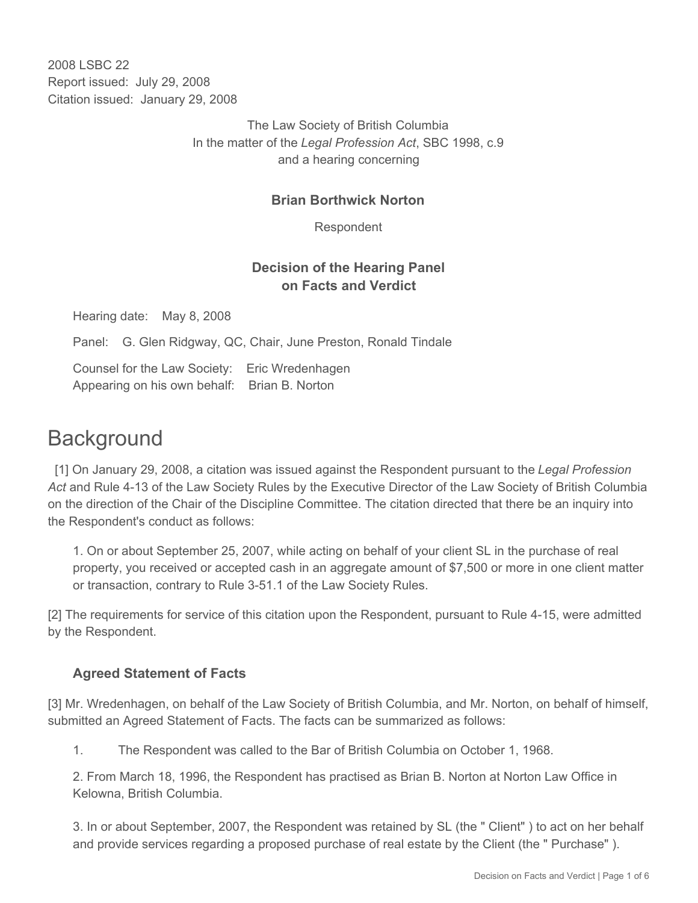2008 LSBC 22 Report issued: July 29, 2008 Citation issued: January 29, 2008

> The Law Society of British Columbia In the matter of the *Legal Profession Act*, SBC 1998, c.9 and a hearing concerning

#### **Brian Borthwick Norton**

Respondent

## **Decision of the Hearing Panel on Facts and Verdict**

Hearing date: May 8, 2008

Panel: G. Glen Ridgway, QC, Chair, June Preston, Ronald Tindale

Counsel for the Law Society: Eric Wredenhagen Appearing on his own behalf: Brian B. Norton

# **Background**

 [1] On January 29, 2008, a citation was issued against the Respondent pursuant to the *Legal Profession Act* and Rule 4-13 of the Law Society Rules by the Executive Director of the Law Society of British Columbia on the direction of the Chair of the Discipline Committee. The citation directed that there be an inquiry into the Respondent's conduct as follows:

1. On or about September 25, 2007, while acting on behalf of your client SL in the purchase of real property, you received or accepted cash in an aggregate amount of \$7,500 or more in one client matter or transaction, contrary to Rule 3-51.1 of the Law Society Rules.

[2] The requirements for service of this citation upon the Respondent, pursuant to Rule 4-15, were admitted by the Respondent.

## **Agreed Statement of Facts**

[3] Mr. Wredenhagen, on behalf of the Law Society of British Columbia, and Mr. Norton, on behalf of himself, submitted an Agreed Statement of Facts. The facts can be summarized as follows:

1. The Respondent was called to the Bar of British Columbia on October 1, 1968.

2. From March 18, 1996, the Respondent has practised as Brian B. Norton at Norton Law Office in Kelowna, British Columbia.

3. In or about September, 2007, the Respondent was retained by SL (the " Client" ) to act on her behalf and provide services regarding a proposed purchase of real estate by the Client (the " Purchase" ).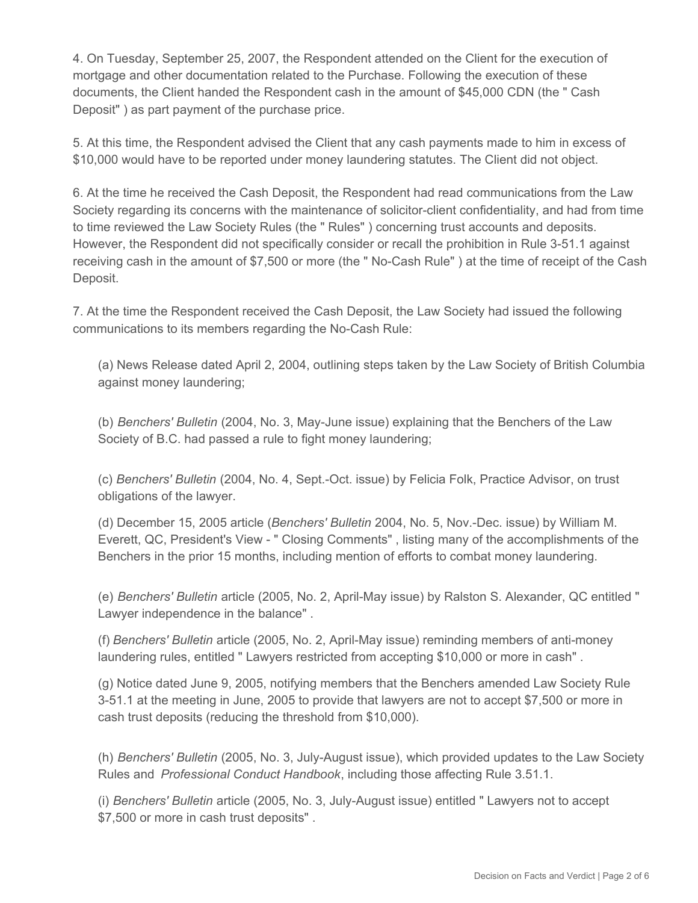4. On Tuesday, September 25, 2007, the Respondent attended on the Client for the execution of mortgage and other documentation related to the Purchase. Following the execution of these documents, the Client handed the Respondent cash in the amount of \$45,000 CDN (the " Cash Deposit" ) as part payment of the purchase price.

5. At this time, the Respondent advised the Client that any cash payments made to him in excess of \$10,000 would have to be reported under money laundering statutes. The Client did not object.

6. At the time he received the Cash Deposit, the Respondent had read communications from the Law Society regarding its concerns with the maintenance of solicitor-client confidentiality, and had from time to time reviewed the Law Society Rules (the " Rules" ) concerning trust accounts and deposits. However, the Respondent did not specifically consider or recall the prohibition in Rule 3-51.1 against receiving cash in the amount of \$7,500 or more (the " No-Cash Rule" ) at the time of receipt of the Cash Deposit.

7. At the time the Respondent received the Cash Deposit, the Law Society had issued the following communications to its members regarding the No-Cash Rule:

(a) News Release dated April 2, 2004, outlining steps taken by the Law Society of British Columbia against money laundering;

(b) *Benchers' Bulletin* (2004, No. 3, May-June issue) explaining that the Benchers of the Law Society of B.C. had passed a rule to fight money laundering;

(c) *Benchers' Bulletin* (2004, No. 4, Sept.-Oct. issue) by Felicia Folk, Practice Advisor, on trust obligations of the lawyer.

(d) December 15, 2005 article (*Benchers' Bulletin* 2004, No. 5, Nov.-Dec. issue) by William M. Everett, QC, President's View - " Closing Comments" , listing many of the accomplishments of the Benchers in the prior 15 months, including mention of efforts to combat money laundering.

(e) *Benchers' Bulletin* article (2005, No. 2, April-May issue) by Ralston S. Alexander, QC entitled " Lawyer independence in the balance" .

(f) *Benchers' Bulletin* article (2005, No. 2, April-May issue) reminding members of anti-money laundering rules, entitled " Lawyers restricted from accepting \$10,000 or more in cash" .

(g) Notice dated June 9, 2005, notifying members that the Benchers amended Law Society Rule 3-51.1 at the meeting in June, 2005 to provide that lawyers are not to accept \$7,500 or more in cash trust deposits (reducing the threshold from \$10,000).

(h) *Benchers' Bulletin* (2005, No. 3, July-August issue), which provided updates to the Law Society Rules and *Professional Conduct Handbook*, including those affecting Rule 3.51.1.

(i) *Benchers' Bulletin* article (2005, No. 3, July-August issue) entitled " Lawyers not to accept \$7,500 or more in cash trust deposits" .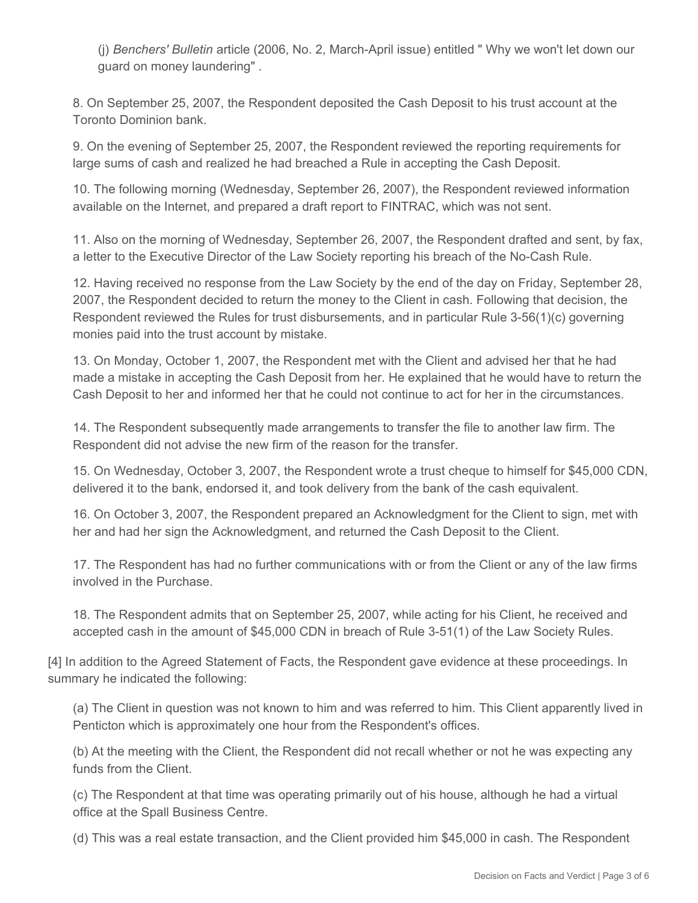(j) *Benchers' Bulletin* article (2006, No. 2, March-April issue) entitled " Why we won't let down our guard on money laundering" .

8. On September 25, 2007, the Respondent deposited the Cash Deposit to his trust account at the Toronto Dominion bank.

9. On the evening of September 25, 2007, the Respondent reviewed the reporting requirements for large sums of cash and realized he had breached a Rule in accepting the Cash Deposit.

10. The following morning (Wednesday, September 26, 2007), the Respondent reviewed information available on the Internet, and prepared a draft report to FINTRAC, which was not sent.

11. Also on the morning of Wednesday, September 26, 2007, the Respondent drafted and sent, by fax, a letter to the Executive Director of the Law Society reporting his breach of the No-Cash Rule.

12. Having received no response from the Law Society by the end of the day on Friday, September 28, 2007, the Respondent decided to return the money to the Client in cash. Following that decision, the Respondent reviewed the Rules for trust disbursements, and in particular Rule 3-56(1)(c) governing monies paid into the trust account by mistake.

13. On Monday, October 1, 2007, the Respondent met with the Client and advised her that he had made a mistake in accepting the Cash Deposit from her. He explained that he would have to return the Cash Deposit to her and informed her that he could not continue to act for her in the circumstances.

14. The Respondent subsequently made arrangements to transfer the file to another law firm. The Respondent did not advise the new firm of the reason for the transfer.

15. On Wednesday, October 3, 2007, the Respondent wrote a trust cheque to himself for \$45,000 CDN, delivered it to the bank, endorsed it, and took delivery from the bank of the cash equivalent.

16. On October 3, 2007, the Respondent prepared an Acknowledgment for the Client to sign, met with her and had her sign the Acknowledgment, and returned the Cash Deposit to the Client.

17. The Respondent has had no further communications with or from the Client or any of the law firms involved in the Purchase.

18. The Respondent admits that on September 25, 2007, while acting for his Client, he received and accepted cash in the amount of \$45,000 CDN in breach of Rule 3-51(1) of the Law Society Rules.

[4] In addition to the Agreed Statement of Facts, the Respondent gave evidence at these proceedings. In summary he indicated the following:

(a) The Client in question was not known to him and was referred to him. This Client apparently lived in Penticton which is approximately one hour from the Respondent's offices.

(b) At the meeting with the Client, the Respondent did not recall whether or not he was expecting any funds from the Client.

(c) The Respondent at that time was operating primarily out of his house, although he had a virtual office at the Spall Business Centre.

(d) This was a real estate transaction, and the Client provided him \$45,000 in cash. The Respondent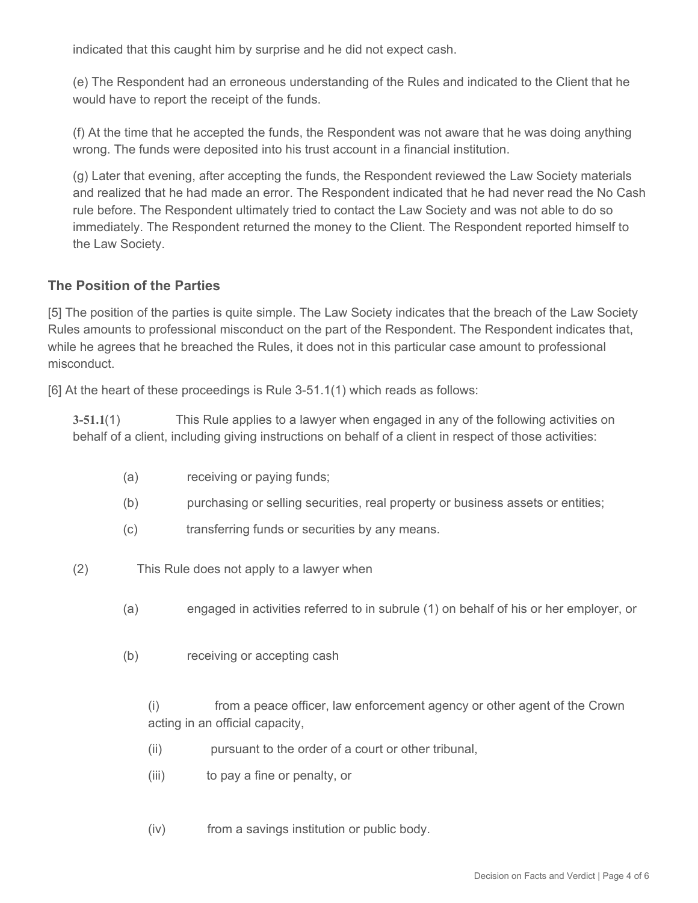indicated that this caught him by surprise and he did not expect cash.

(e) The Respondent had an erroneous understanding of the Rules and indicated to the Client that he would have to report the receipt of the funds.

(f) At the time that he accepted the funds, the Respondent was not aware that he was doing anything wrong. The funds were deposited into his trust account in a financial institution.

(g) Later that evening, after accepting the funds, the Respondent reviewed the Law Society materials and realized that he had made an error. The Respondent indicated that he had never read the No Cash rule before. The Respondent ultimately tried to contact the Law Society and was not able to do so immediately. The Respondent returned the money to the Client. The Respondent reported himself to the Law Society.

## **The Position of the Parties**

[5] The position of the parties is quite simple. The Law Society indicates that the breach of the Law Society Rules amounts to professional misconduct on the part of the Respondent. The Respondent indicates that, while he agrees that he breached the Rules, it does not in this particular case amount to professional misconduct.

[6] At the heart of these proceedings is Rule 3-51.1(1) which reads as follows:

**3-51.1**(1) This Rule applies to a lawyer when engaged in any of the following activities on behalf of a client, including giving instructions on behalf of a client in respect of those activities:

- (a) receiving or paying funds;
- (b) purchasing or selling securities, real property or business assets or entities;
- (c) transferring funds or securities by any means.
- (2) This Rule does not apply to a lawyer when
	- (a) engaged in activities referred to in subrule (1) on behalf of his or her employer, or
	- (b) receiving or accepting cash

(i) from a peace officer, law enforcement agency or other agent of the Crown acting in an official capacity,

- (ii) pursuant to the order of a court or other tribunal,
- (iii) to pay a fine or penalty, or
- (iv) from a savings institution or public body.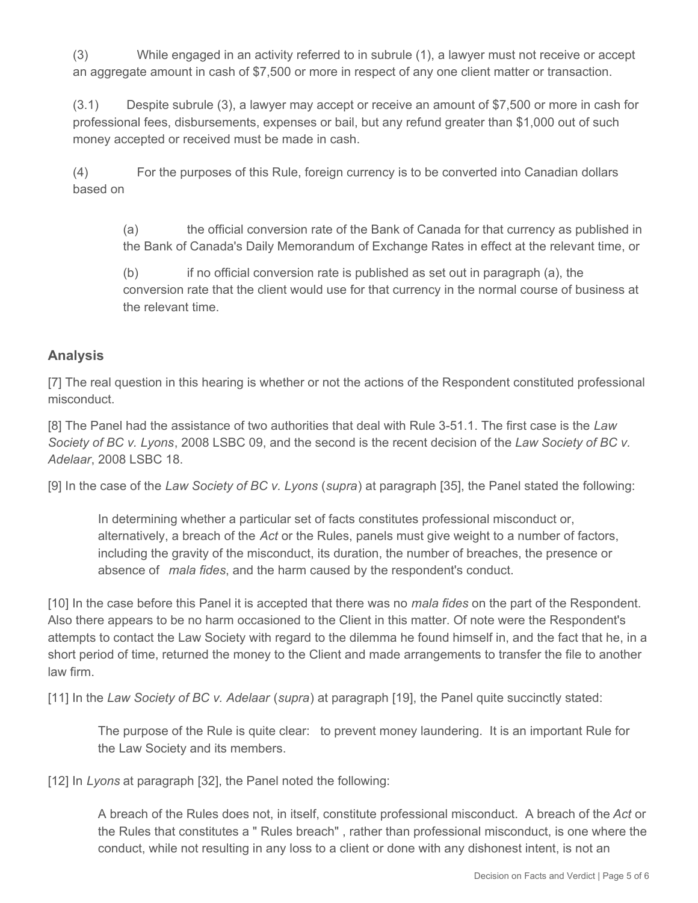(3) While engaged in an activity referred to in subrule (1), a lawyer must not receive or accept an aggregate amount in cash of \$7,500 or more in respect of any one client matter or transaction.

(3.1) Despite subrule (3), a lawyer may accept or receive an amount of \$7,500 or more in cash for professional fees, disbursements, expenses or bail, but any refund greater than \$1,000 out of such money accepted or received must be made in cash.

(4) For the purposes of this Rule, foreign currency is to be converted into Canadian dollars based on

(a) the official conversion rate of the Bank of Canada for that currency as published in the Bank of Canada's Daily Memorandum of Exchange Rates in effect at the relevant time, or

(b) if no official conversion rate is published as set out in paragraph (a), the conversion rate that the client would use for that currency in the normal course of business at the relevant time.

## **Analysis**

[7] The real question in this hearing is whether or not the actions of the Respondent constituted professional misconduct.

[8] The Panel had the assistance of two authorities that deal with Rule 3-51.1. The first case is the *Law Society of BC v. Lyons*, 2008 LSBC 09, and the second is the recent decision of the *Law Society of BC v. Adelaar*, 2008 LSBC 18.

[9] In the case of the *Law Society of BC v. Lyons* (*supra*) at paragraph [35], the Panel stated the following:

In determining whether a particular set of facts constitutes professional misconduct or, alternatively, a breach of the *Act* or the Rules, panels must give weight to a number of factors, including the gravity of the misconduct, its duration, the number of breaches, the presence or absence of *mala fides*, and the harm caused by the respondent's conduct.

[10] In the case before this Panel it is accepted that there was no *mala fides* on the part of the Respondent. Also there appears to be no harm occasioned to the Client in this matter. Of note were the Respondent's attempts to contact the Law Society with regard to the dilemma he found himself in, and the fact that he, in a short period of time, returned the money to the Client and made arrangements to transfer the file to another law firm.

[11] In the *Law Society of BC v. Adelaar* (*supra*) at paragraph [19], the Panel quite succinctly stated:

The purpose of the Rule is quite clear: to prevent money laundering. It is an important Rule for the Law Society and its members.

[12] In *Lyons* at paragraph [32], the Panel noted the following:

A breach of the Rules does not, in itself, constitute professional misconduct. A breach of the *Act* or the Rules that constitutes a " Rules breach" , rather than professional misconduct, is one where the conduct, while not resulting in any loss to a client or done with any dishonest intent, is not an